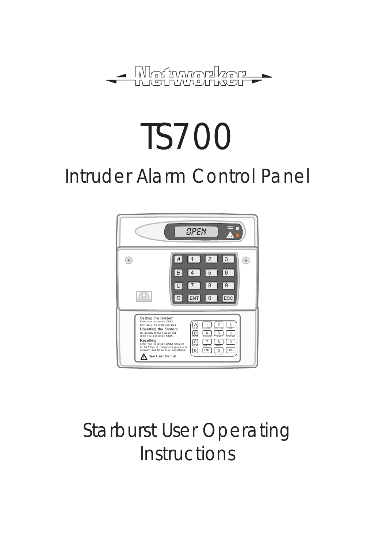

# TS700 Intruder Alarm Control Panel



## Starburst User Operating **Instructions**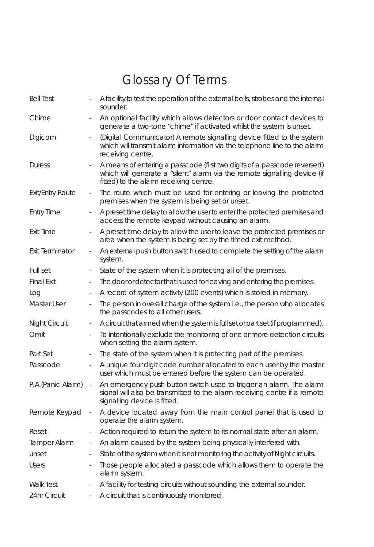## Glossary Of Terms

| <b>Bell Test</b>        |                              | A facility to test the operation of the external bells, strobes and the internal<br>sounder.                                                                                                    |
|-------------------------|------------------------------|-------------------------------------------------------------------------------------------------------------------------------------------------------------------------------------------------|
| Chime                   |                              | An optional facility which allows detectors or door contact devices to<br>generate a two-tone "chime" if activated whilst the system is unset.                                                  |
| Digicom                 |                              | (Digital Communicator) A remote signalling device fitted to the system<br>which will transmit alarm information via the telephone line to the alarm<br>receiving centre.                        |
| Duress                  |                              | A means of entering a passcode (first two digits of a passcode reversed)<br>which will generate a "silent" alarm via the remote signalling device (if<br>fitted) to the alarm receiving centre. |
| <b>Exit/Entry Route</b> |                              | The route which must be used for entering or leaving the protected<br>premises when the system is being set or unset.                                                                           |
| <b>Entry Time</b>       | $\sim$                       | A preset time delay to allow the user to enter the protected premises and<br>access the remote keypad without causing an alarm.                                                                 |
| Exit Time               | $\overline{\phantom{a}}$     | A preset time delay to allow the user to leave the protected premises or<br>area when the system is being set by the timed exit method.                                                         |
| <b>Exit Terminator</b>  | $\overline{\phantom{a}}$     | An external push button switch used to complete the setting of the alarm<br>system.                                                                                                             |
| Full set                | $\frac{1}{2}$                | State of the system when it is protecting all of the premises.                                                                                                                                  |
| <b>Final Exit</b>       | ÷,                           | The door or detector that is used for leaving and entering the premises.                                                                                                                        |
| Log                     | $\qquad \qquad \blacksquare$ | A record of system activity (200 events) which is stored in memory.                                                                                                                             |
| Master User             | $\blacksquare$               | The person in overall charge of the system i.e., the person who allocates<br>the passcodes to all other users.                                                                                  |
| Night Circuit           | $\overline{\phantom{m}}$     | A circuit that armed when the system is full set or part set (if programmed).                                                                                                                   |
| Omit                    | $\blacksquare$               | To intentionally exclude the monitoring of one or more detection circuits<br>when setting the alarm system.                                                                                     |
| Part Set                | $\blacksquare$               | The state of the system when it is protecting part of the premises.                                                                                                                             |
| Passcode                | $\blacksquare$               | A unique four digit code number allocated to each user by the master<br>user which must be entered before the system can be operated.                                                           |
| P.A.(Panic Alarm)       | $\blacksquare$               | An emergency push button switch used to trigger an alarm. The alarm<br>signal will also be transmitted to the alarm receiving centre if a remote<br>signalling device is fitted.                |
| Remote Keypad           | ٠                            | A device located away from the main control panel that is used to<br>operate the alarm system.                                                                                                  |
| Reset                   | ۰                            | Action required to return the system to its normal state after an alarm.                                                                                                                        |
| <b>Tamper Alarm</b>     | ۰                            | An alarm caused by the system being physically interfered with.                                                                                                                                 |
| unset                   | ÷,                           | State of the system when it is not monitoring the activity of Night circuits.                                                                                                                   |
| <b>Users</b>            | $\blacksquare$               | Those people allocated a passcode which allows them to operate the<br>alarm system.                                                                                                             |
| Walk Test               |                              | A facility for testing circuits without sounding the external sounder.                                                                                                                          |
| 24hr Circuit            | $\frac{1}{2}$                | A circuit that is continuously monitored.                                                                                                                                                       |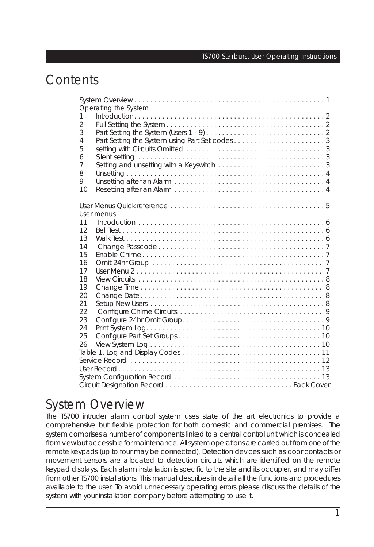## **Contents**

| Operating the System |  |
|----------------------|--|
| 1                    |  |
| $\overline{2}$       |  |
| 3                    |  |
| 4                    |  |
| 5                    |  |
| 6                    |  |
| $\overline{7}$       |  |
| 8                    |  |
| 9                    |  |
| 10                   |  |
|                      |  |
|                      |  |
| User menus           |  |
| 11<br>12             |  |
| 13                   |  |
| 14                   |  |
| 15                   |  |
| 16                   |  |
| 17                   |  |
| 18                   |  |
| 19                   |  |
| 20                   |  |
| 21                   |  |
| 22                   |  |
| 23                   |  |
| 24                   |  |
| 25                   |  |
| 26                   |  |
|                      |  |
|                      |  |
|                      |  |
|                      |  |
|                      |  |

## System Overview

The TS700 intruder alarm control system uses state of the art electronics to provide a comprehensive but flexible protection for both domestic and commercial premises. The system comprises a number of components linked to a central control unit which is concealed from view but accessible for maintenance. All system operations are carried out from one of the remote keypads (up to four may be connected). Detection devices such as door contacts or movement sensors are allocated to detection circuits which are identified on the remote keypad displays. Each alarm installation is specific to the site and its occupier, and may differ from other TS700 installations. This manual describes in detail all the functions and procedures available to the user. To avoid unnecessary operating errors please discuss the details of the system with your installation company before attempting to use it.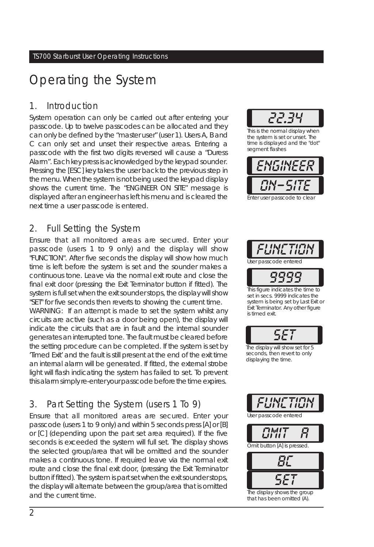## Operating the System

#### 1. Introduction

System operation can only be carried out after entering your passcode. Up to twelve passcodes can be allocated and they can only be defined by the "master user" (user 1). Users A, B and C can only set and unset their respective areas. Entering a passcode with the first two digits reversed will cause a "Duress Alarm". Each key press is acknowledged by the keypad sounder. Pressing the [ESC] key takes the user back to the previous step in the menu. When the system is not being used the keypad display shows the current time. The "ENGINEER ON SITE" message is displayed after an engineer has left his menu and is cleared the next time a user passcode is entered.

## 2. Full Setting the System

Ensure that all monitored areas are secured. Enter your passcode (users 1 to 9 only) and the display will show "FUNCTION". After five seconds the display will show how much time is left before the system is set and the sounder makes a continuous tone. Leave via the normal exit route and close the final exit door (pressing the Exit Terminator button if fitted). The system is full set when the exit sounder stops, the display will show "SET" for five seconds then reverts to showing the current time.

*WARNING:* If an attempt is made to set the system whilst any circuits are active (such as a door being open), the display will indicate the circuits that are in fault and the internal sounder generates an interrupted tone. The fault must be cleared before the setting procedure can be completed. If the system is set by 'Timed Exit' and the fault is still present at the end of the exit time an internal alarm will be generated. If fitted, the external strobe light will flash indicating the system has failed to set. To prevent this alarm simply re-enter your passcode before the time expires.

## 3. Part Setting the System (users 1 To 9)

Ensure that all monitored areas are secured. Enter your passcode (users 1 to 9 only) and within 5 seconds press [A] or [B] or [C] (depending upon the part set area required). If the five seconds is exceeded the system will full set. The display shows the selected group/area that will be omitted and the sounder makes a continuous tone. If required leave via the normal exit route and close the final exit door, (pressing the Exit Terminator button if fitted). The system is part set when the exit sounder stops, the display will alternate between the group/area that is omitted and the current time.



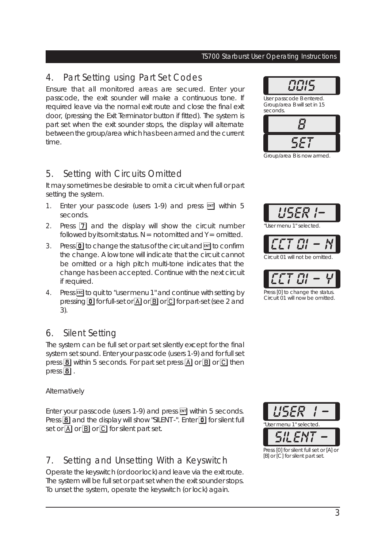## 4. Part Setting using Part Set Codes

Ensure that all monitored areas are secured. Enter your passcode, the exit sounder will make a continuous tone. If required leave via the normal exit route and close the final exit door, (pressing the Exit Terminator button if fitted). The system is part set when the exit sounder stops, the display will alternate between the group/area which has been armed and the current time.

## 5. Setting with Circuits Omitted

It may sometimes be desirable to omit a circuit when full or part setting the system.

- 1. Enter your passcode (users  $1-9$ ) and press  $\overline{em}$  within 5 seconds.
- 2. Press  $\overline{7}$  and the display will show the circuit number followed by its omit status.  $N = not$  omitted and  $Y = o$  mitted.
- 3. Press  $\boxed{0}$  to change the status of the circuit and  $\boxed{m}$  to confirm the change. A low tone will indicate that the circuit cannot be omitted or a high pitch multi-tone indicates that the change has been accepted. Continue with the next circuit if required.
- 4. Press **[55C]** to quit to "user menu 1" and continue with setting by pressing  $\boxed{\mathbf{0}}$  for full-set or  $\boxed{\mathbf{A}}$  or  $\boxed{\mathbf{B}}$  or  $\boxed{\mathbf{C}}$  for part-set (see 2 and 3).

## 6. Silent Setting

The system can be full set or part set silently except for the final system set sound. Enter your passcode (users 1-9) and for full set press  $\boxed{8}$  within 5 seconds. For part set press  $\boxed{A}$  or  $\boxed{B}$  or  $\boxed{C}$  then press  $\boxed{8}$ .

#### *Alternatively*

Enter your passcode (users 1-9) and press  $\overline{F}$  within 5 seconds. Press  $\overline{8}$  and the display will show "SILENT -". Enter  $\overline{0}$  for silent full set or  $\overline{A}$  or  $\overline{B}$  or  $\overline{C}$  for silent part set.

## 7. Setting and Unsetting With a Keyswitch

Operate the keyswitch (or door lock) and leave via the exit route. The system will be full set or part set when the exit sounder stops. To unset the system, operate the keyswitch (or lock) again.



Group/area B is now armed.



will not be omitted



Press [0] to change the status. Circuit 01 will now be omitted.

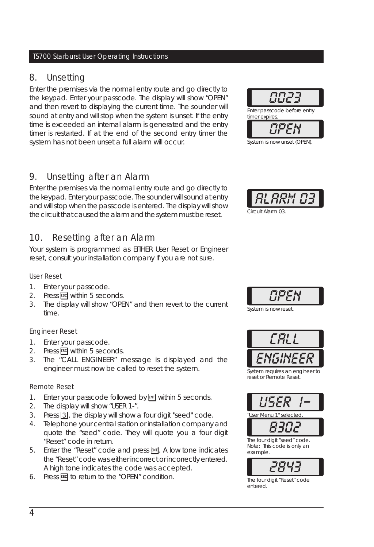#### 8. Unsetting

Enter the premises via the normal entry route and go directly to the keypad. Enter your passcode. The display will show "OPEN" and then revert to displaying the current time. The sounder will sound at entry and will stop when the system is unset. If the entry time is exceeded an internal alarm is generated and the entry timer is restarted. If at the end of the second entry timer the system has not been unset a full alarm will occur.

#### 9. Unsetting after an Alarm

Enter the premises via the normal entry route and go directly to the keypad. Enter your passcode. The sounder will sound at entry and will stop when the passcode is entered. The display will show the circuit that caused the alarm and the system must be reset.

#### 10. Resetting after an Alarm

Your system is programmed as EITHER User Reset or Engineer reset, consult your installation company if you are not sure.

#### User Reset

- 1. Enter your passcode.
- 2. Press Escl within 5 seconds.
- 3. The display will show "OPEN" and then revert to the current time.

#### Engineer Reset

- 1. Enter your passcode.
- 2. Press Escl within 5 seconds.
- 3. The "CALL ENGINEER" message is displayed and the engineer must now be called to reset the system.

#### Remote Reset

- 1. Enter your passcode followed by  $\overline{\rm \bf \scriptstyle{[N]}}$  within 5 seconds.
- 2. The display will show "USER 1-".
- 3. Press 3, the display will show a four digit "seed" code.
- 4. Telephone your central station or installation company and quote the "seed" code. They will quote you a four digit "Reset" code in return.
- 5. Enter the "Reset" code and press  $\overline{[m]}$ . A low tone indicates the "Reset" code was either incorrect or incorrectly entered. A high tone indicates the code was accepted.
- 6. Press **[5C]** to return to the "OPEN" condition.



System is now unset (OPEN).





System is now reset.



System requires an engineer to reset or Remote Reset.



*2843*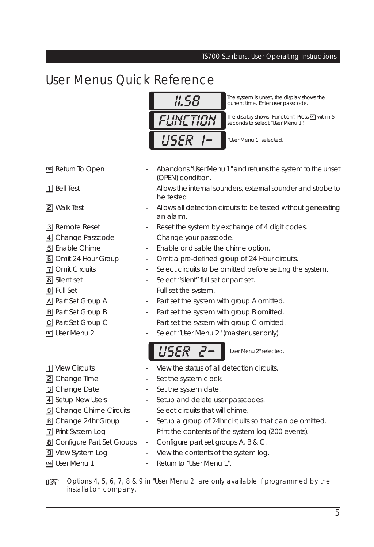## User Menus Quick Reference



**11.58** The system is unset, the display shows the current time. Enter user passcode. current time. Enter user passcode.

**FUNFTION** The display shows "Function". Press **Em** within 5<br>**FLINE TILIN** Seconds to select "User Menu 1". seconds to select "User Menu 1".

*USER 1-* "User Menu 1" selected.

- 
- 
- 
- 
- 
- 
- 
- 
- 
- 
- 
- 
- 
- 3 Change Date **-** Set the system date.
- 4 Setup New Users Setup and delete user passcodes.
- **5** Change Chime Circuits Select circuits that will chime.
- **6** Change 24hr Group Setup a group of 24hr circuits so that can be omitted.
- 7 Print System Log Print the contents of the system log (200 events).
- **8** Configure Part Set Groups Configure part set groups A, B & C.
- **9** View System Log **-** View the contents of the system log.
- 

Destriangled 5, 6, 7, 8 & 9 in "User Menu 2" are only available if programmed by the installation company.

- ] Return To Open Abandons "User Menu 1" and returns the system to the unset (OPEN) condition.
- 1 Bell Test **1** Bell Test **1 1** Bell Test **1 1** Allows the internal sounders, external sounder and strobe to be tested
- **2** Walk Test  **Allows all detection circuits to be tested without generating** an alarm.
- 3 Remote Reset Reset the system by exchange of 4 digit codes.
- 4 Change Passcode Change your passcode.
- 5 Enable Chime Enable or disable the chime option.
- **6** Omit 24 Hour Group Omit a pre-defined group of 24 Hour circuits.
- 7 Omit Circuits Select circuits to be omitted before setting the system.
- **8** Silent set **-** Select "silent" full set or part set.
- **0** Full Set **-** Full set the system.
- A Part Set Group A Part set the system with group A omitted.
- **B** Part Set Group B Part set the system with group B omitted.
- C Part Set Group C Part set the system with group C omitted.
- ENT User Menu 2 Select "User Menu 2" (master user only).

- *USER 2-* "User Menu 2" selected.
- 1 View Circuits **-** View the status of all detection circuits.
- **2** Change Time **-** Set the system clock.

ESC User Menu 1 - Return to "User Menu 1".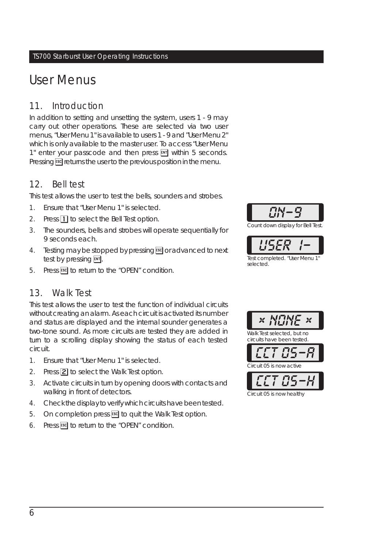## User Menus

## 11. Introduction

In addition to setting and unsetting the system, users 1 - 9 may carry out other operations. These are selected via two user menus, "User Menu 1" is available to users 1 - 9 and "User Menu 2" which is only available to the master user. To access "User Menu 1" enter your passcode and then press  $[$  within 5 seconds. Pressing **ESC** returns the user to the previous position in the menu.

## 12. Bell test

This test allows the user to test the bells, sounders and strobes.

- 1. Ensure that "User Menu 1" is selected.
- 2. Press  $\boxed{1}$  to select the Bell Test option.
- 3. The sounders, bells and strobes will operate sequentially for 9 seconds each.
- 4. Testing may be stopped by pressing **ESC** or advanced to next test by pressing  $ET$ .
- 5. Press **ESC** to return to the "OPEN" condition.

## 13. Walk Test

This test allows the user to test the function of individual circuits without creating an alarm. As each circuit is activated its number and status are displayed and the internal sounder generates a two-tone sound. As more circuits are tested they are added in turn to a scrolling display showing the status of each tested circuit.

- 1. Ensure that "User Menu 1" is selected.
- 2. Press **2** to select the Walk Test option.
- 3. Activate circuits in turn by opening doors with contacts and walking in front of detectors.
- 4. Check the display to verify which circuits have been tested.
- 5. On completion press **ESC** to quit the Walk Test option.
- 6. Press  $F =$  to return to the "OPEN" condition.



Count down display for Bell Test.





Circuit 05 is now healthy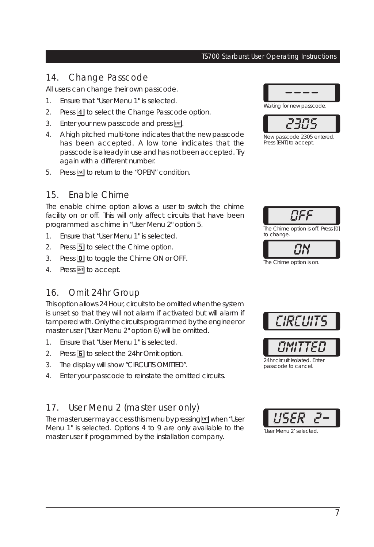#### 14. Change Passcode

All users can change their own passcode.

- 1. Ensure that "User Menu 1" is selected.
- 2. Press 4 to select the Change Passcode option.
- 3. Enter your new passcode and press  $FNT$ .
- 4. A high pitched multi-tone indicates that the new passcode has been accepted. A low tone indicates that the passcode is already in use and has not been accepted. Try again with a different number.
- 5. Press  $F =$  to return to the "OPEN" condition.

#### 15. Enable Chime

The enable chime option allows a user to switch the chime facility on or off. This will only affect circuits that have been programmed as chime in "User Menu 2" option 5.

- 1. Ensure that "User Menu 1" is selected.
- 2. Press 5 to select the Chime option.
- 3. Press  $\boxed{0}$  to toggle the Chime ON or OFF.
- 4. Press ENT to accept.

#### 16. Omit 24hr Group

This option allows 24 Hour, circuits to be omitted when the system is unset so that they will not alarm if activated but will alarm if tampered with. Only the circuits programmed by the engineer or master user ("User Menu 2" option 6) will be omitted.

- 1. Ensure that "User Menu 1" is selected.
- 2. Press **6** to select the 24hr Omit option.
- 3. The display will show "CIRCUITS OMITTED".
- 4. Enter your passcode to reinstate the omitted circuits.

#### 17. User Menu 2 (master user only)

The master user may access this menu by pressing **ENT** when "User Menu 1" is selected. Options 4 to 9 are only available to the master user if programmed by the installation company.



Waiting for new passcode.



New passcode 2305 entered. Press [ENT] to accept.



The Chime option is off. Press [0] to change.





24hr circuit isolated. Enter passcode to cancel.

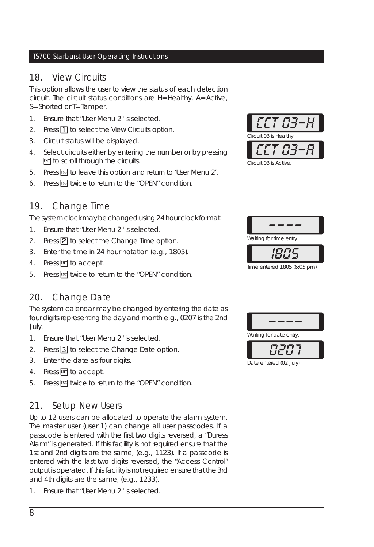#### 18. View Circuits

This option allows the user to view the status of each detection circuit. The circuit status conditions are H=Healthy, A=Active, S=Shorted or T=Tamper.

- 1. Ensure that "User Menu 2" is selected.
- 2. Press  $\boxed{1}$  to select the View Circuits option.
- 3. Circuit status will be displayed.
- 4. Select circuits either by entering the number or by pressing **ENT** to scroll through the circuits.
- 5. Press ESC to leave this option and return to 'User Menu 2'.
- 6. Press **[5C]** twice to return to the "OPEN" condition.

## 19. Change Time

The system clock may be changed using 24 hour clock format.

- 1. Ensure that "User Menu 2" is selected.
- 2. Press  $\boxed{2}$  to select the Change Time option.
- 3. Enter the time in 24 hour notation (e.g., 1805).
- 4. Press ENT to accept.
- 5. Press Escl twice to return to the "OPEN" condition.

## 20. Change Date

The system calendar may be changed by entering the date as four digits representing the day and month e.g., 0207 is the 2nd July.

- 1. Ensure that "User Menu 2" is selected.
- 2. Press 3 to select the Change Date option.
- 3. Enter the date as four digits.
- 4. Press ENT to accept.
- 5. Press Escl twice to return to the "OPEN" condition.

## 21. Setup New Users

Up to 12 users can be allocated to operate the alarm system. The master user (user 1) can change all user passcodes. If a passcode is entered with the first two digits reversed, a "Duress Alarm" is generated. If this facility is not required ensure that the 1st and 2nd digits are the same, (e.g., 1123). If a passcode is entered with the last two digits reversed, the "Access Control" output is operated. If thisfacility is not required ensure that the 3rd and 4th digits are the same, (e.g., 1233).

1. Ensure that "User Menu 2" is selected.





Time entered 1805 (6:05 pm)



Date entered (02 July)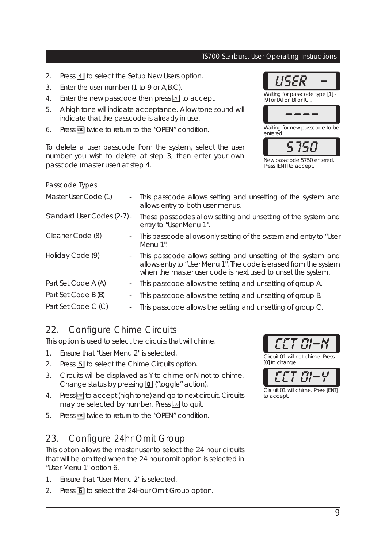- 2. Press 4 to select the Setup New Users option.
- 3. Enter the user number (1 to 9 or A,B,C).
- 4. Enter the new passcode then press  $\overline{F}$  to accept.
- 5. A high tone will indicate acceptance. A low tone sound will indicate that the passcode is already in use.
- 6. Press [ssc] twice to return to the "OPEN" condition.

To delete a user passcode from the system, select the user number you wish to delete at step 3, then enter your own passcode (master user) at step 4.

#### Passcode Types





Press [ENT] to accept.

| Master User Code (1)<br>$\sim$                  | This passcode allows setting and unsetting of the system and<br>allows entry to both user menus.                                                                                                 |
|-------------------------------------------------|--------------------------------------------------------------------------------------------------------------------------------------------------------------------------------------------------|
| Standard User Codes (2-7) -                     | These passcodes allow setting and unsetting of the system and<br>entry to "User Menu 1".                                                                                                         |
| Cleaner Code (8)<br>$\sim$                      | This passcode allows only setting of the system and entry to "User<br>Menu 1".                                                                                                                   |
| Holiday Code (9)<br>$\sim$                      | This passcode allows setting and unsetting of the system and<br>allows entry to "User Menu 1". The code is erased from the system<br>when the master user code is next used to unset the system. |
| Part Set Code A (A)<br>$\overline{\phantom{a}}$ | This passcode allows the setting and unsetting of group A.                                                                                                                                       |
| Part Set Code B (B)                             | This passcode allows the setting and unsetting of group B.                                                                                                                                       |
| Part Set Code C (C)<br>$\overline{\phantom{a}}$ | This passcode allows the setting and unsetting of group C.                                                                                                                                       |

## 22. Configure Chime Circuits

This option is used to select the circuits that will chime.

- 1. Ensure that "User Menu 2" is selected.
- 2. Press 5 to select the Chime Circuits option.
- 3. Circuits will be displayed as Y to chime or N not to chime. Change status by pressing  $\boxed{\mathbf{0}}$  ("toggle" action).
- 4. Press **ENT** to accept (high tone) and go to next circuit. Circuits may be selected by number. Press **ESC** to quit.
- 5. Press **ESC** twice to return to the "OPEN" condition.

## 23. Configure 24hr Omit Group

This option allows the master user to select the 24 hour circuits that will be omitted when the 24 hour omit option is selected in "User Menu 1" option 6.

- 1. Ensure that "User Menu 2" is selected.
- 2. Press **6** to select the 24Hour Omit Group option.





Circuit 01 will chime. Press [ENT] to accept.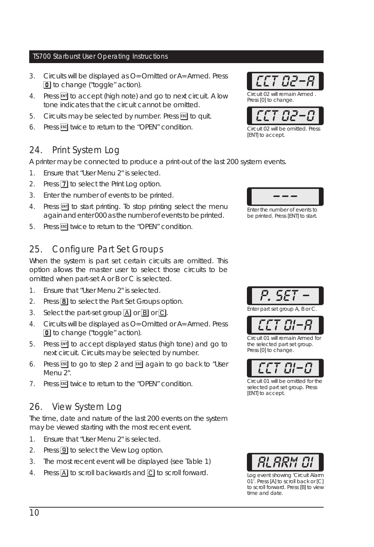- 3. Circuits will be displayed as O=Omitted or A=Armed. Press 0 to change ("toggle" action).
- 4. Press  $\overline{F}$  to accept (high note) and go to next circuit. A low tone indicates that the circuit cannot be omitted.
- 5. Circuits may be selected by number. Press **ESC** to quit.
- 6. Press **ESC** twice to return to the "OPEN" condition.

## 24. Print System Log

A printer may be connected to produce a print-out of the last 200 system events.

- 1. Ensure that "User Menu 2" is selected.
- 2. Press  $\boxed{7}$  to select the Print Log option.
- 3. Enter the number of events to be printed.
- 4. Press ENT to start printing. To stop printing select the menu again and enter 000 as the number of events to be printed.
- 5. Press Escl twice to return to the "OPEN" condition.

## 25. Configure Part Set Groups

When the system is part set certain circuits are omitted. This option allows the master user to select those circuits to be omitted when part-set A or B or C is selected.

- 1. Ensure that "User Menu 2" is selected.
- 2. Press  $\boxed{8}$  to select the Part Set Groups option.
- 3. Select the part-set group  $\overline{A}$  or  $\overline{B}$  or  $\overline{C}$ .
- 4. Circuits will be displayed as O=Omitted or A=Armed. Press **0** to change ("toggle" action).
- 5. Press  $\overline{small}$  to accept displayed status (high tone) and go to next circuit. Circuits may be selected by number.
- 6. Press  $\overline{c}$  to go to step 2 and  $\overline{c}$  again to go back to "User Menu 2".
- 7. Press **ESC** twice to return to the "OPEN" condition.

## 26. View System Log

The time, date and nature of the last 200 events on the system may be viewed starting with the most recent event.

- 1. Ensure that "User Menu 2" is selected.
- 2. Press  $\boxed{9}$  to select the View Log option.
- 3. The most recent event will be displayed (see Table 1)
- 4. Press  $\overline{A}$  to scroll backwards and  $\overline{C}$  to scroll forward.

*---* Enter the number of events to be printed. Press [ENT] to start.



*P. SET -* Enter part set group A, B or C.



Circuit 01 will be omitted for the selected part set group. Press [ENT] to accept.



Log event showing 'Circuit Alarm 01'. Press [A] to scroll back or [C] to scroll forward. Press [B] to view time and date.



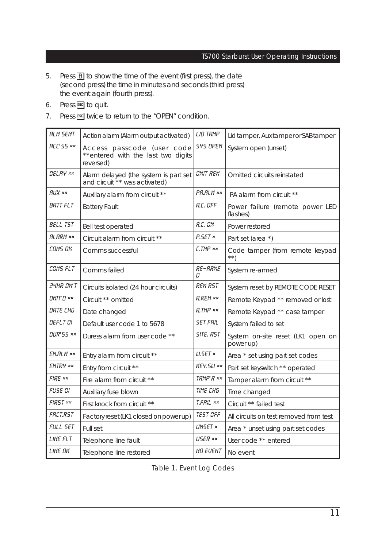- 5. Press  $\boxed{B}$  to show the time of the event (first press), the date (second press) the time in minutes and seconds (third press) the event again (fourth press).
- 6. Press **ESC** to quit.
- 7. Press ESC twice to return to the "OPEN" condition.

| <b>RLM SENT</b>  | Action alarm (Alarm output activated)                                         | LID TAMP            | Lid tamper, Aux tamper or SAB tamper           |
|------------------|-------------------------------------------------------------------------------|---------------------|------------------------------------------------|
| <b>RCC'55 xx</b> | Access passcode (user code<br>**entered with the last two digits<br>reversed) | <b>SYS OPEN</b>     | System open (unset)                            |
| DELRY **         | Alarm delayed (the system is part set<br>and circuit ** was activated)        | <b>OMIT REM</b>     | Omitted circuits reinstated                    |
| <b>RLIX xx</b>   | Auxiliary alarm from circuit **                                               | PR.RLM xx           | PA alarm from circuit **                       |
| BRTT FLT         | <b>Battery Fault</b>                                                          | <b>A.C. OFF</b>     | Power failure (remote power LED<br>flashes)    |
| BELL TST         | Bell test operated                                                            | R.C. ON             | Power restored                                 |
| <b>RLARM xx</b>  | Circuit alarm from circuit **                                                 | P.SET ×             | Part set (area *)                              |
| cams ak          | Comms successful                                                              | <b>C.TMP</b> xx     | Code tamper (from remote keypad<br>$* *$       |
| COMS FLT         | Comms failed                                                                  | <b>RE-ARME</b><br>Π | System re-armed                                |
| <b>24HR OM T</b> | Circuits isolated (24 hour circuits)                                          | <i>REM RST</i>      | System reset by REMOTE CODE RESET              |
| $MHTR$ $**$      | Circuit ** omitted                                                            | <b>R.REM xx</b>     | Remote Keypad ** removed or lost               |
| DRTE CHG         | Date changed                                                                  | R.TMP xx            | Remote Keypad ** case tamper                   |
| OEFLT OI         | Default user code 1 to 5678                                                   | <b>SET FRIL</b>     | System failed to set                           |
| <b>DUR'SS **</b> | Duress alarm from user code **                                                | SITE, RST           | System on-site reset (LK1 open on<br>power up) |
| EN.RLM xx        | Entry alarm from circuit **                                                   | $W$ . SET $\times$  | Area * set using part set codes                |
| ENTRY **         | Entry from circuit **                                                         | <b>KEY.5U xx</b>    | Part set keyswitch ** operated                 |
| <b>FIRE xx</b>   | Fire alarm from circuit **                                                    | TRMP'R xx           | Tamper alarm from circuit **                   |
| FUSE OI          | Auxiliary fuse blown                                                          | TIME CHG            | Time changed                                   |
| FIRST xx         | First knock from circuit **                                                   | T.FRIL **           | Circuit ** failed test                         |
| <b>FRET.RST</b>  | Factory reset (LK1 closed on power up)                                        | <b>TEST OFF</b>     | All circuits on test removed from test         |
| FULL SET         | Full set                                                                      | <b>LINSET</b> ×     | Area * unset using part set codes              |
| LINE FLT         | Telephone line fault                                                          | <b>USER **</b>      | User code ** entered                           |
| LINE OK          | Telephone line restored                                                       | <b>NO EVENT</b>     | No event                                       |

Table 1. Event Log Codes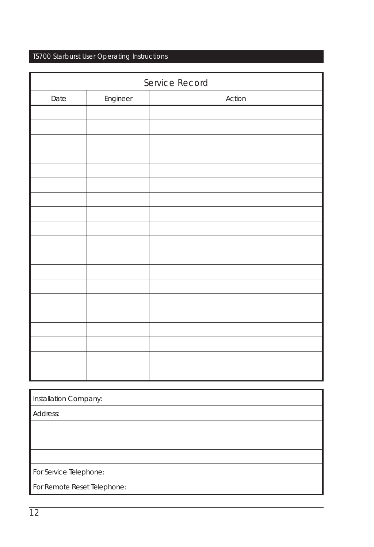| Service Record |          |        |  |  |
|----------------|----------|--------|--|--|
| Date           | Engineer | Action |  |  |
|                |          |        |  |  |
|                |          |        |  |  |
|                |          |        |  |  |
|                |          |        |  |  |
|                |          |        |  |  |
|                |          |        |  |  |
|                |          |        |  |  |
|                |          |        |  |  |
|                |          |        |  |  |
|                |          |        |  |  |
|                |          |        |  |  |
|                |          |        |  |  |
|                |          |        |  |  |
|                |          |        |  |  |
|                |          |        |  |  |
|                |          |        |  |  |
|                |          |        |  |  |
|                |          |        |  |  |
|                |          |        |  |  |

| Installation Company:       |
|-----------------------------|
| Address:                    |
|                             |
|                             |
|                             |
| For Service Telephone:      |
| For Remote Reset Telephone: |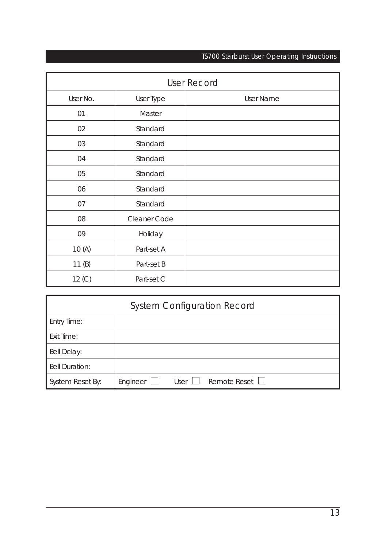| <b>User Record</b> |              |           |  |  |
|--------------------|--------------|-----------|--|--|
| User No.           | User Type    | User Name |  |  |
| 01                 | Master       |           |  |  |
| 02                 | Standard     |           |  |  |
| 03                 | Standard     |           |  |  |
| 04                 | Standard     |           |  |  |
| 05                 | Standard     |           |  |  |
| 06                 | Standard     |           |  |  |
| 07                 | Standard     |           |  |  |
| 08                 | Cleaner Code |           |  |  |
| 09                 | Holiday      |           |  |  |
| 10(A)              | Part-set A   |           |  |  |
| 11(B)              | Part-set B   |           |  |  |
| 12 (C)             | Part-set C   |           |  |  |

| <b>System Configuration Record</b> |          |        |                |  |  |
|------------------------------------|----------|--------|----------------|--|--|
| <b>Entry Time:</b>                 |          |        |                |  |  |
| <b>Exit Time:</b>                  |          |        |                |  |  |
| Bell Delay:                        |          |        |                |  |  |
| <b>Bell Duration:</b>              |          |        |                |  |  |
| System Reset By:                   | Engineer | User I | Remote Reset L |  |  |